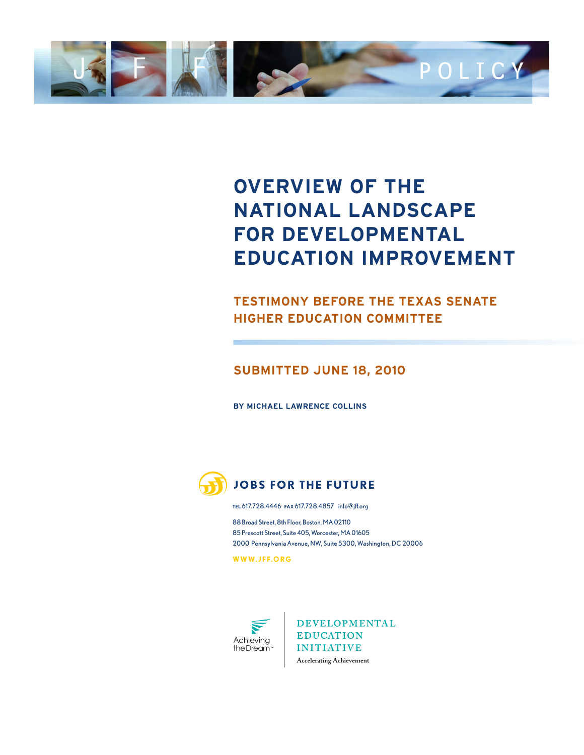

## **OVERVIEW OF THE NATIONAL LANDSCAPE FOR DEVELOPMENTAL EDUCATION IMPROVEMENT**

### **TESTIMONY BEFORE THE TEXAS SENATE HIGHER EDUCATION COMMITTEE**

#### **SUBMITTED JUNE 18, 2010**

**BY MICHAEL LAWRENCE COLLINS**



#### **JOBS FOR THE FUTURE**

**TEL** 617.728.4446 **FAX** 617.728.4857 info@jff.org

88 Broad Street, 8th Floor, Boston, MA 02110 85 Prescott Street, Suite 405, Worcester, MA 01605 2000 Pennsylvania Avenue, NW, Suite 5300, Washington, DC 20006

**WWW. J F F.ORG**



**DEVELOPMENTAL EDUCATION INITIATIVE** Accelerating Achievement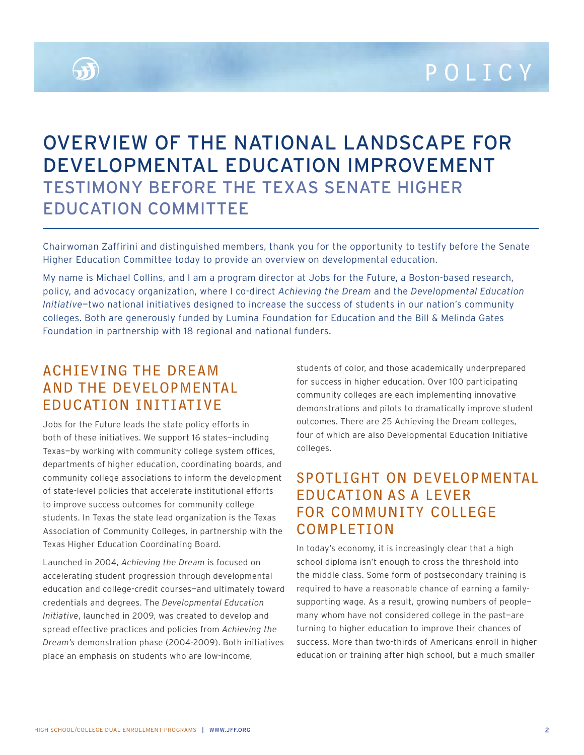

## OVERVIEW OF THE NATIONAL LANDSCAPE FOR DEVELOPMENTAL EDUCATION IMPROVEMENT TESTIMONY BEFORE THE TEXAS SENATE HIGHER EDUCATION COMMITTEE

Chairwoman Zaffirini and distinguished members, thank you for the opportunity to testify before the Senate Higher Education Committee today to provide an overview on developmental education.

My name is Michael Collins, and I am a program director at Jobs for the Future, a Boston-based research, policy, and advocacy organization, where I co-direct *Achieving the Dream* and the *Developmental Education Initiative*—two national initiatives designed to increase the success of students in our nation's community colleges. Both are generously funded by Lumina Foundation for Education and the Bill & Melinda Gates Foundation in partnership with 18 regional and national funders.

## ACHIEVING THE DREAM AND THE DEVELOPMENTAL EDUCATION INITIATIVE

Jobs for the Future leads the state policy efforts in both of these initiatives. We support 16 states—including Texas—by working with community college system offices, departments of higher education, coordinating boards, and community college associations to inform the development of state-level policies that accelerate institutional efforts to improve success outcomes for community college students. In Texas the state lead organization is the Texas Association of Community Colleges, in partnership with the Texas Higher Education Coordinating Board.

Launched in 2004, *Achieving the Dream* is focused on accelerating student progression through developmental education and college-credit courses—and ultimately toward credentials and degrees. The *Developmental Education Initiative*, launched in 2009, was created to develop and spread effective practices and policies from *Achieving the Dream's* demonstration phase (2004-2009). Both initiatives place an emphasis on students who are low-income,

students of color, and those academically underprepared for success in higher education. Over 100 participating community colleges are each implementing innovative demonstrations and pilots to dramatically improve student outcomes. There are 25 Achieving the Dream colleges, four of which are also Developmental Education Initiative colleges.

## SPOTLIGHT ON DEVELOPMENTAL EDUCATION AS A LEVER FOR COMMUNITY COLLEGE COMPLETION

In today's economy, it is increasingly clear that a high school diploma isn't enough to cross the threshold into the middle class. Some form of postsecondary training is required to have a reasonable chance of earning a familysupporting wage. As a result, growing numbers of people many whom have not considered college in the past—are turning to higher education to improve their chances of success. More than two-thirds of Americans enroll in higher education or training after high school, but a much smaller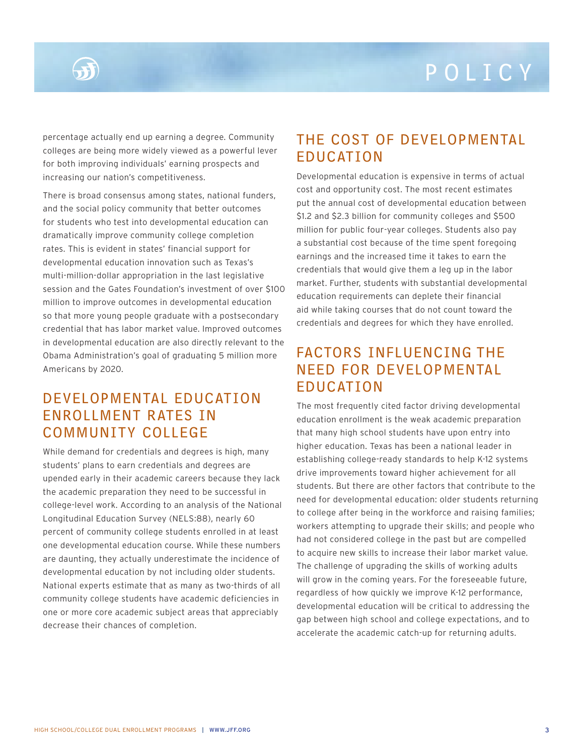percentage actually end up earning a degree. Community colleges are being more widely viewed as a powerful lever for both improving individuals' earning prospects and increasing our nation's competitiveness.

There is broad consensus among states, national funders, and the social policy community that better outcomes for students who test into developmental education can dramatically improve community college completion rates. This is evident in states' financial support for developmental education innovation such as Texas's multi-million-dollar appropriation in the last legislative session and the Gates Foundation's investment of over \$100 million to improve outcomes in developmental education so that more young people graduate with a postsecondary credential that has labor market value. Improved outcomes in developmental education are also directly relevant to the Obama Administration's goal of graduating 5 million more Americans by 2020.

## DEVELOPMENTAL EDUCATION ENROLLMENT RATES IN COMMUNITY COLLEGE

While demand for credentials and degrees is high, many students' plans to earn credentials and degrees are upended early in their academic careers because they lack the academic preparation they need to be successful in college-level work. According to an analysis of the National Longitudinal Education Survey (NELS:88), nearly 60 percent of community college students enrolled in at least one developmental education course. While these numbers are daunting, they actually underestimate the incidence of developmental education by not including older students. National experts estimate that as many as two-thirds of all community college students have academic deficiencies in one or more core academic subject areas that appreciably decrease their chances of completion.

## THE COST OF DEVELOPMENTAL EDUCATION

Developmental education is expensive in terms of actual cost and opportunity cost. The most recent estimates put the annual cost of developmental education between \$1.2 and \$2.3 billion for community colleges and \$500 million for public four-year colleges. Students also pay a substantial cost because of the time spent foregoing earnings and the increased time it takes to earn the credentials that would give them a leg up in the labor market. Further, students with substantial developmental education requirements can deplete their financial aid while taking courses that do not count toward the credentials and degrees for which they have enrolled.

## FACTORS INFLUENCING THE NEED FOR DEVELOPMENTAL EDUCATION

The most frequently cited factor driving developmental education enrollment is the weak academic preparation that many high school students have upon entry into higher education. Texas has been a national leader in establishing college-ready standards to help K-12 systems drive improvements toward higher achievement for all students. But there are other factors that contribute to the need for developmental education: older students returning to college after being in the workforce and raising families; workers attempting to upgrade their skills; and people who had not considered college in the past but are compelled to acquire new skills to increase their labor market value. The challenge of upgrading the skills of working adults will grow in the coming years. For the foreseeable future, regardless of how quickly we improve K-12 performance, developmental education will be critical to addressing the gap between high school and college expectations, and to accelerate the academic catch-up for returning adults.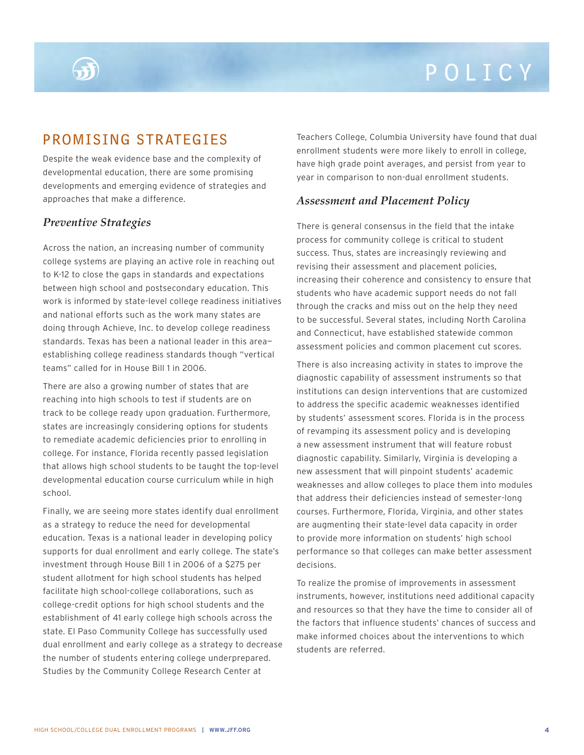## PROMISING STRATEGIES

Despite the weak evidence base and the complexity of developmental education, there are some promising developments and emerging evidence of strategies and approaches that make a difference.

#### *Preventive Strategies*

Across the nation, an increasing number of community college systems are playing an active role in reaching out to K-12 to close the gaps in standards and expectations between high school and postsecondary education. This work is informed by state-level college readiness initiatives and national efforts such as the work many states are doing through Achieve, Inc. to develop college readiness standards. Texas has been a national leader in this area establishing college readiness standards though "vertical teams" called for in House Bill 1 in 2006.

There are also a growing number of states that are reaching into high schools to test if students are on track to be college ready upon graduation. Furthermore, states are increasingly considering options for students to remediate academic deficiencies prior to enrolling in college. For instance, Florida recently passed legislation that allows high school students to be taught the top-level developmental education course curriculum while in high school.

Finally, we are seeing more states identify dual enrollment as a strategy to reduce the need for developmental education. Texas is a national leader in developing policy supports for dual enrollment and early college. The state's investment through House Bill 1 in 2006 of a \$275 per student allotment for high school students has helped facilitate high school-college collaborations, such as college-credit options for high school students and the establishment of 41 early college high schools across the state. El Paso Community College has successfully used dual enrollment and early college as a strategy to decrease the number of students entering college underprepared. Studies by the Community College Research Center at

Teachers College, Columbia University have found that dual enrollment students were more likely to enroll in college, have high grade point averages, and persist from year to year in comparison to non-dual enrollment students.

#### *Assessment and Placement Policy*

There is general consensus in the field that the intake process for community college is critical to student success. Thus, states are increasingly reviewing and revising their assessment and placement policies, increasing their coherence and consistency to ensure that students who have academic support needs do not fall through the cracks and miss out on the help they need to be successful. Several states, including North Carolina and Connecticut, have established statewide common assessment policies and common placement cut scores.

There is also increasing activity in states to improve the diagnostic capability of assessment instruments so that institutions can design interventions that are customized to address the specific academic weaknesses identified by students' assessment scores. Florida is in the process of revamping its assessment policy and is developing a new assessment instrument that will feature robust diagnostic capability. Similarly, Virginia is developing a new assessment that will pinpoint students' academic weaknesses and allow colleges to place them into modules that address their deficiencies instead of semester-long courses. Furthermore, Florida, Virginia, and other states are augmenting their state-level data capacity in order to provide more information on students' high school performance so that colleges can make better assessment decisions.

To realize the promise of improvements in assessment instruments, however, institutions need additional capacity and resources so that they have the time to consider all of the factors that influence students' chances of success and make informed choices about the interventions to which students are referred.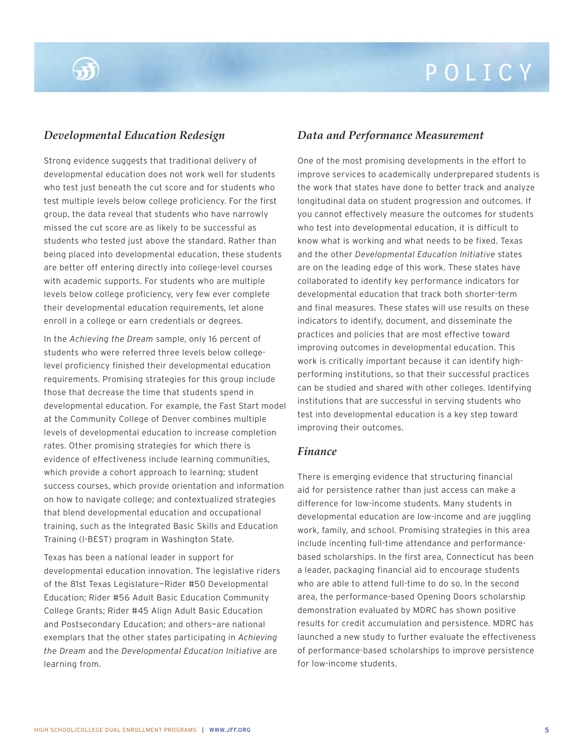#### *Developmental Education Redesign*

Strong evidence suggests that traditional delivery of developmental education does not work well for students who test just beneath the cut score and for students who test multiple levels below college proficiency. For the first group, the data reveal that students who have narrowly missed the cut score are as likely to be successful as students who tested just above the standard. Rather than being placed into developmental education, these students are better off entering directly into college-level courses with academic supports. For students who are multiple levels below college proficiency, very few ever complete their developmental education requirements, let alone enroll in a college or earn credentials or degrees.

In the *Achieving the Dream* sample, only 16 percent of students who were referred three levels below collegelevel proficiency finished their developmental education requirements. Promising strategies for this group include those that decrease the time that students spend in developmental education. For example, the Fast Start model at the Community College of Denver combines multiple levels of developmental education to increase completion rates. Other promising strategies for which there is evidence of effectiveness include learning communities, which provide a cohort approach to learning; student success courses, which provide orientation and information on how to navigate college; and contextualized strategies that blend developmental education and occupational training, such as the Integrated Basic Skills and Education Training (I-BEST) program in Washington State.

Texas has been a national leader in support for developmental education innovation. The legislative riders of the 81st Texas Legislature—Rider #50 Developmental Education; Rider #56 Adult Basic Education Community College Grants; Rider #45 Align Adult Basic Education and Postsecondary Education; and others—are national exemplars that the other states participating in *Achieving the Dream* and the *Developmental Education Initiative* are learning from.

#### *Data and Performance Measurement*

One of the most promising developments in the effort to improve services to academically underprepared students is the work that states have done to better track and analyze longitudinal data on student progression and outcomes. If you cannot effectively measure the outcomes for students who test into developmental education, it is difficult to know what is working and what needs to be fixed. Texas and the other *Developmental Education Initiative* states are on the leading edge of this work. These states have collaborated to identify key performance indicators for developmental education that track both shorter-term and final measures. These states will use results on these indicators to identify, document, and disseminate the practices and policies that are most effective toward improving outcomes in developmental education. This work is critically important because it can identify highperforming institutions, so that their successful practices can be studied and shared with other colleges. Identifying institutions that are successful in serving students who test into developmental education is a key step toward improving their outcomes.

#### *Finance*

There is emerging evidence that structuring financial aid for persistence rather than just access can make a difference for low-income students. Many students in developmental education are low-income and are juggling work, family, and school. Promising strategies in this area include incenting full-time attendance and performancebased scholarships. In the first area, Connecticut has been a leader, packaging financial aid to encourage students who are able to attend full-time to do so. In the second area, the performance-based Opening Doors scholarship demonstration evaluated by MDRC has shown positive results for credit accumulation and persistence. MDRC has launched a new study to further evaluate the effectiveness of performance-based scholarships to improve persistence for low-income students.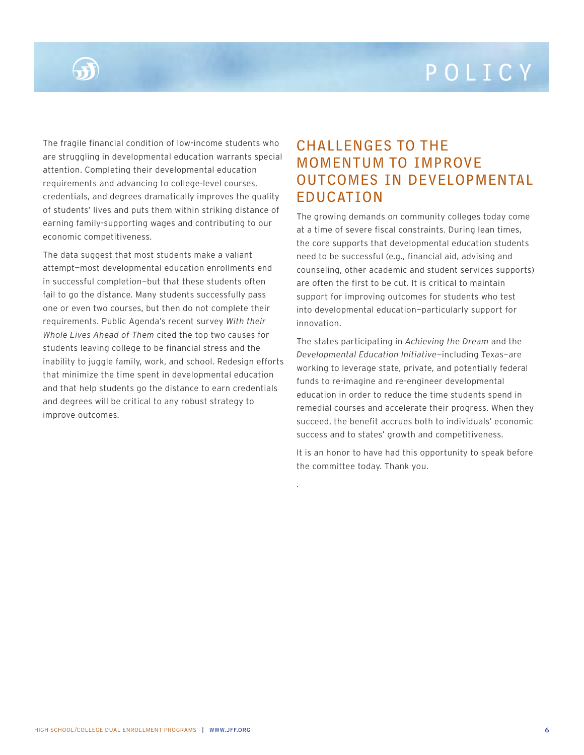The fragile financial condition of low-income students who are struggling in developmental education warrants special attention. Completing their developmental education requirements and advancing to college-level courses, credentials, and degrees dramatically improves the quality of students' lives and puts them within striking distance of earning family-supporting wages and contributing to our economic competitiveness.

The data suggest that most students make a valiant attempt—most developmental education enrollments end in successful completion—but that these students often fail to go the distance. Many students successfully pass one or even two courses, but then do not complete their requirements. Public Agenda's recent survey *With their Whole Lives Ahead of Them* cited the top two causes for students leaving college to be financial stress and the inability to juggle family, work, and school. Redesign efforts that minimize the time spent in developmental education and that help students go the distance to earn credentials and degrees will be critical to any robust strategy to improve outcomes.

## CHALLENGES TO THE MOMENTUM TO IMPROVE OUTCOMES IN DEVELOPMENTAL EDUCATION

The growing demands on community colleges today come at a time of severe fiscal constraints. During lean times, the core supports that developmental education students need to be successful (e.g., financial aid, advising and counseling, other academic and student services supports) are often the first to be cut. It is critical to maintain support for improving outcomes for students who test into developmental education—particularly support for innovation.

The states participating in *Achieving the Dream* and the *Developmental Education Initiative*—including Texas—are working to leverage state, private, and potentially federal funds to re-imagine and re-engineer developmental education in order to reduce the time students spend in remedial courses and accelerate their progress. When they succeed, the benefit accrues both to individuals' economic success and to states' growth and competitiveness.

It is an honor to have had this opportunity to speak before the committee today. Thank you.

.